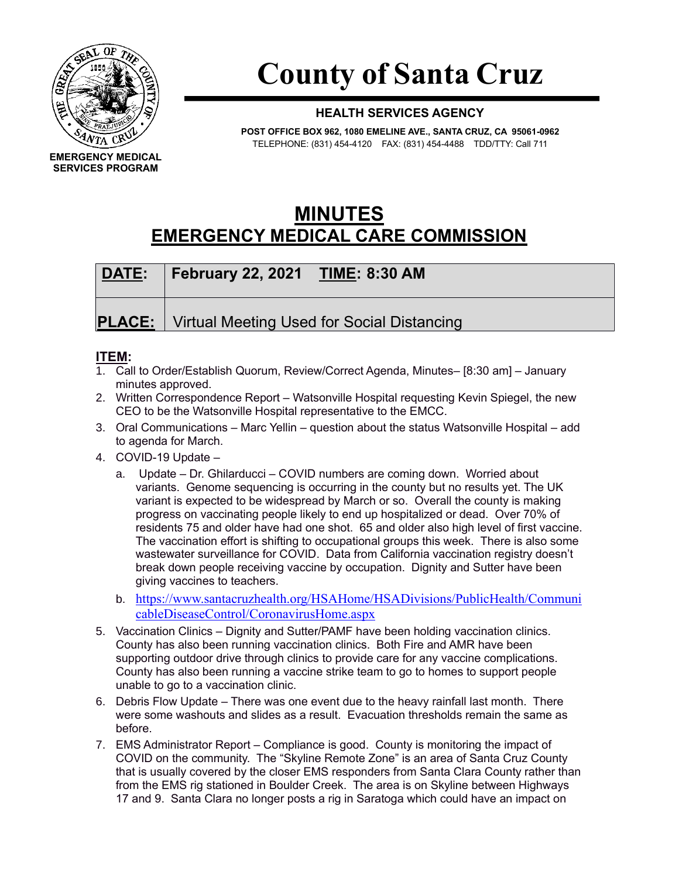

## **County of Santa Cruz**

## **HEALTH SERVICES AGENCY**

**POST OFFICE BOX 962, 1080 EMELINE AVE., SANTA CRUZ, CA 95061-0962** TELEPHONE: (831) 454-4120 FAX: (831) 454-4488 TDD/TTY: Call 711

## **MINUTES EMERGENCY MEDICAL CARE COMMISSION**

| DATE: | <b>February 22, 2021 TIME: 8:30 AM</b>                   |
|-------|----------------------------------------------------------|
|       | <b>PLACE:</b> Virtual Meeting Used for Social Distancing |

## **ITEM:**

- 1. Call to Order/Establish Quorum, Review/Correct Agenda, Minutes– [8:30 am] January minutes approved.
- 2. Written Correspondence Report Watsonville Hospital requesting Kevin Spiegel, the new CEO to be the Watsonville Hospital representative to the EMCC.
- 3. Oral Communications Marc Yellin question about the status Watsonville Hospital add to agenda for March.
- 4. COVID-19 Update
	- a. Update Dr. Ghilarducci COVID numbers are coming down. Worried about variants. Genome sequencing is occurring in the county but no results yet. The UK variant is expected to be widespread by March or so. Overall the county is making progress on vaccinating people likely to end up hospitalized or dead. Over 70% of residents 75 and older have had one shot. 65 and older also high level of first vaccine. The vaccination effort is shifting to occupational groups this week. There is also some wastewater surveillance for COVID. Data from California vaccination registry doesn't break down people receiving vaccine by occupation. Dignity and Sutter have been giving vaccines to teachers.
	- b. [https://www.santacruzhealth.org/HSAHome/HSADivisions/PublicHealth/Communi](https://www.santacruzhealth.org/HSAHome/HSADivisions/PublicHealth/CommunicableDiseaseControl/CoronavirusHome.aspx) [cableDiseaseControl/CoronavirusHome.aspx](https://www.santacruzhealth.org/HSAHome/HSADivisions/PublicHealth/CommunicableDiseaseControl/CoronavirusHome.aspx)
- 5. Vaccination Clinics Dignity and Sutter/PAMF have been holding vaccination clinics. County has also been running vaccination clinics. Both Fire and AMR have been supporting outdoor drive through clinics to provide care for any vaccine complications. County has also been running a vaccine strike team to go to homes to support people unable to go to a vaccination clinic.
- 6. Debris Flow Update There was one event due to the heavy rainfall last month. There were some washouts and slides as a result. Evacuation thresholds remain the same as before.
- 7. EMS Administrator Report Compliance is good. County is monitoring the impact of COVID on the community. The "Skyline Remote Zone" is an area of Santa Cruz County that is usually covered by the closer EMS responders from Santa Clara County rather than from the EMS rig stationed in Boulder Creek. The area is on Skyline between Highways 17 and 9. Santa Clara no longer posts a rig in Saratoga which could have an impact on

**EMERGENCY MEDICAL SERVICES PROGRAM**